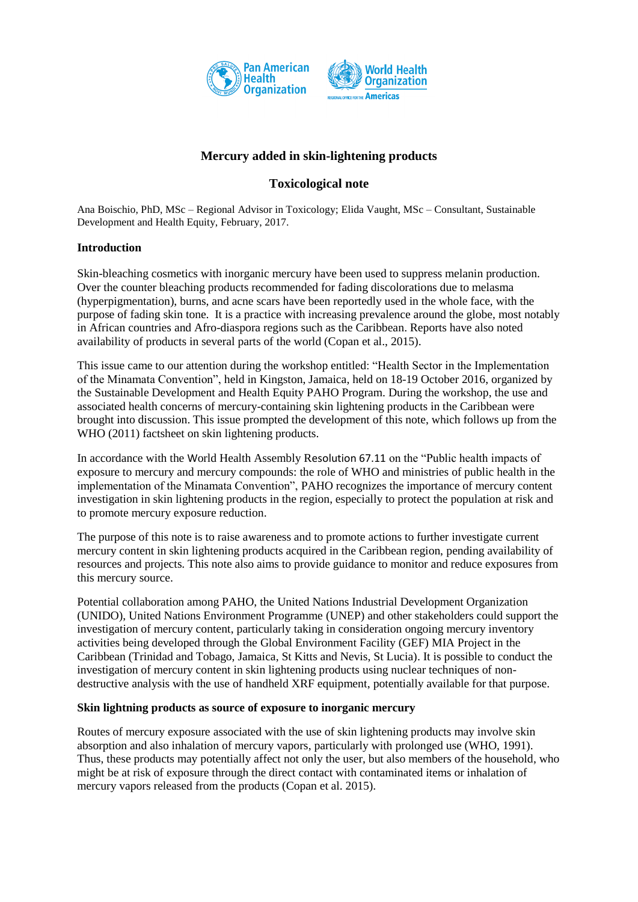



# **Mercury added in skin-lightening products**

## **Toxicological note**

Ana Boischio, PhD, MSc – Regional Advisor in Toxicology; Elida Vaught, MSc – Consultant, Sustainable Development and Health Equity, February, 2017.

## **Introduction**

Skin-bleaching cosmetics with inorganic mercury have been used to suppress melanin production. Over the counter bleaching products recommended for fading discolorations due to melasma (hyperpigmentation), burns, and acne scars have been reportedly used in the whole face, with the purpose of fading skin tone. It is a practice with increasing prevalence around the globe, most notably in African countries and Afro-diaspora regions such as the Caribbean. Reports have also noted availability of products in several parts of the world (Copan et al., 2015).

This issue came to our attention during the workshop entitled: "Health Sector in the Implementation of the Minamata Convention", held in Kingston, Jamaica, held on 18-19 October 2016, organized by the Sustainable Development and Health Equity PAHO Program. During the workshop, the use and associated health concerns of mercury-containing skin lightening products in the Caribbean were brought into discussion. This issue prompted the development of this note, which follows up from the WHO (2011) factsheet on skin lightening products.

In accordance with the World Health Assembly Resolution 67.11 on the "Public health impacts of exposure to mercury and mercury compounds: the role of WHO and ministries of public health in the implementation of the Minamata Convention", PAHO recognizes the importance of mercury content investigation in skin lightening products in the region, especially to protect the population at risk and to promote mercury exposure reduction.

The purpose of this note is to raise awareness and to promote actions to further investigate current mercury content in skin lightening products acquired in the Caribbean region, pending availability of resources and projects. This note also aims to provide guidance to monitor and reduce exposures from this mercury source.

Potential collaboration among PAHO, the United Nations Industrial Development Organization (UNIDO), United Nations Environment Programme (UNEP) and other stakeholders could support the investigation of mercury content, particularly taking in consideration ongoing mercury inventory activities being developed through the Global Environment Facility (GEF) MIA Project in the Caribbean (Trinidad and Tobago, Jamaica, St Kitts and Nevis, St Lucia). It is possible to conduct the investigation of mercury content in skin lightening products using nuclear techniques of nondestructive analysis with the use of handheld XRF equipment, potentially available for that purpose.

## **Skin lightning products as source of exposure to inorganic mercury**

Routes of mercury exposure associated with the use of skin lightening products may involve skin absorption and also inhalation of mercury vapors, particularly with prolonged use (WHO, 1991). Thus, these products may potentially affect not only the user, but also members of the household, who might be at risk of exposure through the direct contact with contaminated items or inhalation of mercury vapors released from the products (Copan et al. 2015).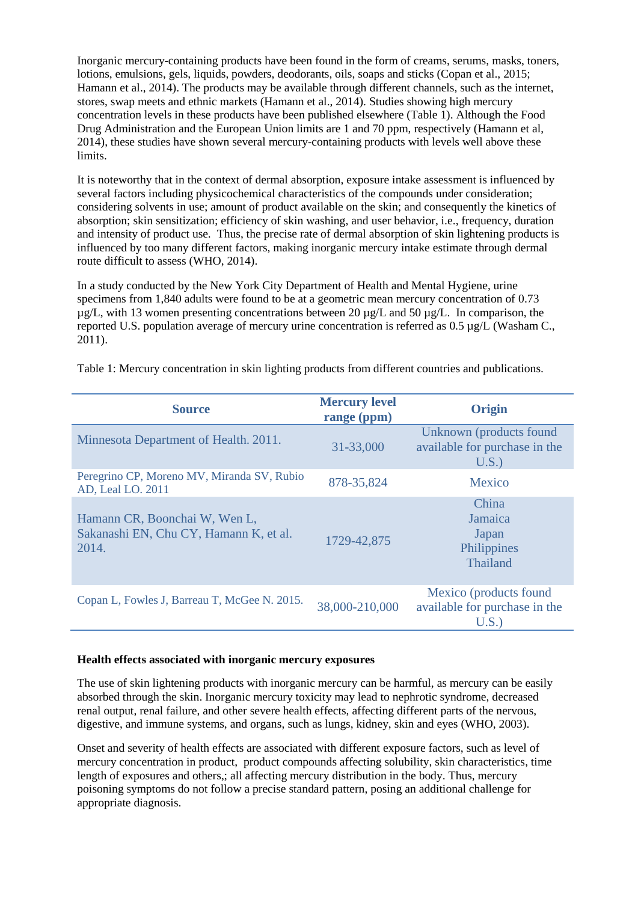Inorganic mercury-containing products have been found in the form of creams, serums, masks, toners, lotions, emulsions, gels, liquids, powders, deodorants, oils, soaps and sticks (Copan et al., 2015; Hamann et al., 2014). The products may be available through different channels, such as the internet, stores, swap meets and ethnic markets (Hamann et al., 2014). Studies showing high mercury concentration levels in these products have been published elsewhere (Table 1). Although the Food Drug Administration and the European Union limits are 1 and 70 ppm, respectively (Hamann et al, 2014), these studies have shown several mercury-containing products with levels well above these limits.

It is noteworthy that in the context of dermal absorption, exposure intake assessment is influenced by several factors including physicochemical characteristics of the compounds under consideration; considering solvents in use; amount of product available on the skin; and consequently the kinetics of absorption; skin sensitization; efficiency of skin washing, and user behavior, i.e., frequency, duration and intensity of product use. Thus, the precise rate of dermal absorption of skin lightening products is influenced by too many different factors, making inorganic mercury intake estimate through dermal route difficult to assess (WHO, 2014).

In a study conducted by the New York City Department of Health and Mental Hygiene, urine specimens from 1,840 adults were found to be at a geometric mean mercury concentration of 0.73  $\mu$ g/L, with 13 women presenting concentrations between 20  $\mu$ g/L and 50  $\mu$ g/L. In comparison, the reported U.S. population average of mercury urine concentration is referred as 0.5 µg/L (Washam C., 2011).

| <b>Source</b>                                                                    | <b>Mercury level</b><br>range (ppm) | Origin                                                           |
|----------------------------------------------------------------------------------|-------------------------------------|------------------------------------------------------------------|
| Minnesota Department of Health. 2011.                                            | 31-33,000                           | Unknown (products found<br>available for purchase in the<br>U.S. |
| Peregrino CP, Moreno MV, Miranda SV, Rubio<br>AD, Leal LO. 2011                  | 878-35,824                          | Mexico                                                           |
| Hamann CR, Boonchai W, Wen L,<br>Sakanashi EN, Chu CY, Hamann K, et al.<br>2014. | 1729-42,875                         | China<br>Jamaica<br>Japan<br>Philippines<br>Thailand             |
| Copan L, Fowles J, Barreau T, McGee N. 2015.                                     | 38,000-210,000                      | Mexico (products found<br>available for purchase in the<br>U.S.  |

Table 1: Mercury concentration in skin lighting products from different countries and publications.

#### **Health effects associated with inorganic mercury exposures**

The use of skin lightening products with inorganic mercury can be harmful, as mercury can be easily absorbed through the skin. Inorganic mercury toxicity may lead to nephrotic syndrome, decreased renal output, renal failure, and other severe health effects, affecting different parts of the nervous, digestive, and immune systems, and organs, such as lungs, kidney, skin and eyes (WHO, 2003).

Onset and severity of health effects are associated with different exposure factors, such as level of mercury concentration in product, product compounds affecting solubility, skin characteristics, time length of exposures and others,; all affecting mercury distribution in the body. Thus, mercury poisoning symptoms do not follow a precise standard pattern, posing an additional challenge for appropriate diagnosis.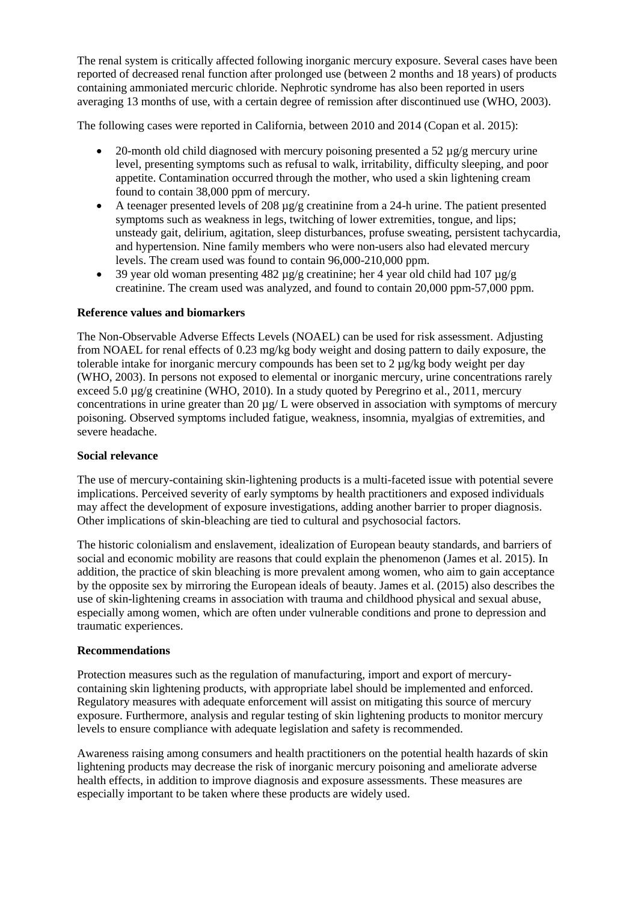The renal system is critically affected following inorganic mercury exposure. Several cases have been reported of decreased renal function after prolonged use (between 2 months and 18 years) of products containing ammoniated mercuric chloride. Nephrotic syndrome has also been reported in users averaging 13 months of use, with a certain degree of remission after discontinued use (WHO, 2003).

The following cases were reported in California, between 2010 and 2014 (Copan et al. 2015):

- 20-month old child diagnosed with mercury poisoning presented a 52  $\mu$ g/g mercury urine level, presenting symptoms such as refusal to walk, irritability, difficulty sleeping, and poor appetite. Contamination occurred through the mother, who used a skin lightening cream found to contain 38,000 ppm of mercury.
- A teenager presented levels of 208 µg/g creatinine from a 24-h urine. The patient presented symptoms such as weakness in legs, twitching of lower extremities, tongue, and lips; unsteady gait, delirium, agitation, sleep disturbances, profuse sweating, persistent tachycardia, and hypertension. Nine family members who were non-users also had elevated mercury levels. The cream used was found to contain 96,000-210,000 ppm.
- 39 year old woman presenting 482 µg/g creatinine; her 4 year old child had 107 µg/g creatinine. The cream used was analyzed, and found to contain 20,000 ppm-57,000 ppm.

## **Reference values and biomarkers**

The Non-Observable Adverse Effects Levels (NOAEL) can be used for risk assessment. Adjusting from NOAEL for renal effects of 0.23 mg/kg body weight and dosing pattern to daily exposure, the tolerable intake for inorganic mercury compounds has been set to 2 µg/kg body weight per day (WHO, 2003). In persons not exposed to elemental or inorganic mercury, urine concentrations rarely exceed 5.0  $\mu$ g/g creatinine (WHO, 2010). In a study quoted by Peregrino et al., 2011, mercury concentrations in urine greater than 20  $\mu$ g/ L were observed in association with symptoms of mercury poisoning. Observed symptoms included fatigue, weakness, insomnia, myalgias of extremities, and severe headache.

## **Social relevance**

The use of mercury-containing skin-lightening products is a multi-faceted issue with potential severe implications. Perceived severity of early symptoms by health practitioners and exposed individuals may affect the development of exposure investigations, adding another barrier to proper diagnosis. Other implications of skin-bleaching are tied to cultural and psychosocial factors.

The historic colonialism and enslavement, idealization of European beauty standards, and barriers of social and economic mobility are reasons that could explain the phenomenon (James et al. 2015). In addition, the practice of skin bleaching is more prevalent among women, who aim to gain acceptance by the opposite sex by mirroring the European ideals of beauty. James et al. (2015) also describes the use of skin-lightening creams in association with trauma and childhood physical and sexual abuse, especially among women, which are often under vulnerable conditions and prone to depression and traumatic experiences.

## **Recommendations**

Protection measures such as the regulation of manufacturing, import and export of mercurycontaining skin lightening products, with appropriate label should be implemented and enforced. Regulatory measures with adequate enforcement will assist on mitigating this source of mercury exposure. Furthermore, analysis and regular testing of skin lightening products to monitor mercury levels to ensure compliance with adequate legislation and safety is recommended.

Awareness raising among consumers and health practitioners on the potential health hazards of skin lightening products may decrease the risk of inorganic mercury poisoning and ameliorate adverse health effects, in addition to improve diagnosis and exposure assessments. These measures are especially important to be taken where these products are widely used.